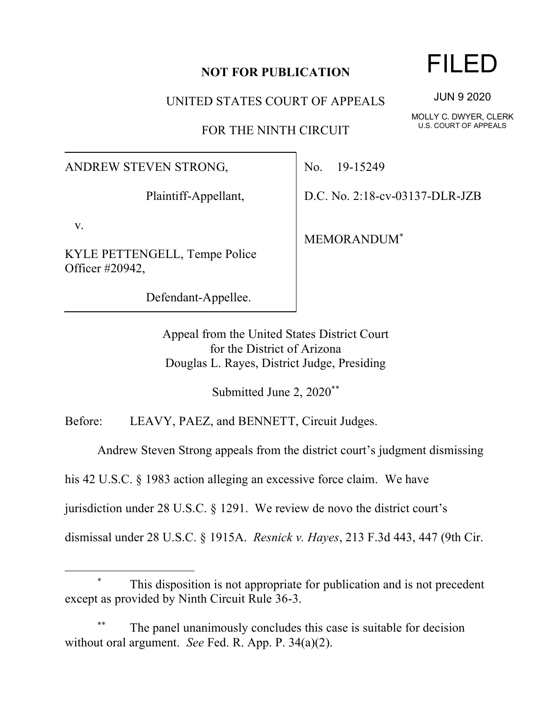## **NOT FOR PUBLICATION**

UNITED STATES COURT OF APPEALS

FOR THE NINTH CIRCUIT

ANDREW STEVEN STRONG,

Plaintiff-Appellant,

v.

KYLE PETTENGELL, Tempe Police Officer #20942,

Defendant-Appellee.

No. 19-15249

D.C. No. 2:18-cv-03137-DLR-JZB

MEMORANDUM\*

Appeal from the United States District Court for the District of Arizona Douglas L. Rayes, District Judge, Presiding

Submitted June 2, 2020\*\*

Before: LEAVY, PAEZ, and BENNETT, Circuit Judges.

Andrew Steven Strong appeals from the district court's judgment dismissing

his 42 U.S.C. § 1983 action alleging an excessive force claim. We have

jurisdiction under 28 U.S.C. § 1291. We review de novo the district court's

dismissal under 28 U.S.C. § 1915A. *Resnick v. Hayes*, 213 F.3d 443, 447 (9th Cir.

## This disposition is not appropriate for publication and is not precedent except as provided by Ninth Circuit Rule 36-3.

The panel unanimously concludes this case is suitable for decision without oral argument. *See* Fed. R. App. P. 34(a)(2).

## FILED

JUN 9 2020

MOLLY C. DWYER, CLERK U.S. COURT OF APPEALS